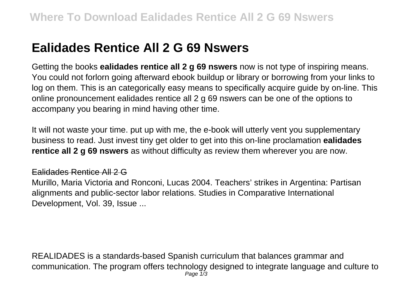## **Ealidades Rentice All 2 G 69 Nswers**

Getting the books **ealidades rentice all 2 g 69 nswers** now is not type of inspiring means. You could not forlorn going afterward ebook buildup or library or borrowing from your links to log on them. This is an categorically easy means to specifically acquire guide by on-line. This online pronouncement ealidades rentice all 2 g 69 nswers can be one of the options to accompany you bearing in mind having other time.

It will not waste your time. put up with me, the e-book will utterly vent you supplementary business to read. Just invest tiny get older to get into this on-line proclamation **ealidades rentice all 2 g 69 nswers** as without difficulty as review them wherever you are now.

## Ealidades Rentice All 2 G

Murillo, Maria Victoria and Ronconi, Lucas 2004. Teachers' strikes in Argentina: Partisan alignments and public-sector labor relations. Studies in Comparative International Development, Vol. 39, Issue ...

REALIDADES is a standards-based Spanish curriculum that balances grammar and communication. The program offers technology designed to integrate language and culture to Page  $1/3$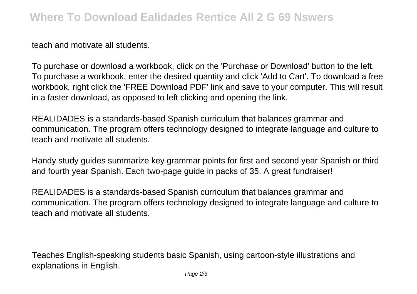teach and motivate all students.

To purchase or download a workbook, click on the 'Purchase or Download' button to the left. To purchase a workbook, enter the desired quantity and click 'Add to Cart'. To download a free workbook, right click the 'FREE Download PDF' link and save to your computer. This will result in a faster download, as opposed to left clicking and opening the link.

REALIDADES is a standards-based Spanish curriculum that balances grammar and communication. The program offers technology designed to integrate language and culture to teach and motivate all students.

Handy study guides summarize key grammar points for first and second year Spanish or third and fourth year Spanish. Each two-page guide in packs of 35. A great fundraiser!

REALIDADES is a standards-based Spanish curriculum that balances grammar and communication. The program offers technology designed to integrate language and culture to teach and motivate all students.

Teaches English-speaking students basic Spanish, using cartoon-style illustrations and explanations in English.